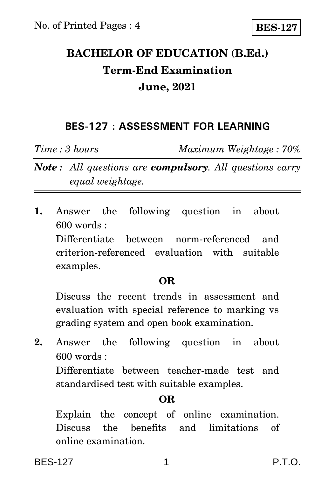# **BACHELOR OF EDUCATION (B.Ed.) Term-End Examination June, 2021**

## **BES-127 : ASSESSMENT FOR LEARNING**

*Time : 3 hours Maximum Weightage : 70%*

*Note : All questions are compulsory. All questions carry equal weightage.*

**1.** Answer the following question in about 600 words : Differentiate between norm-referenced and criterion-referenced evaluation with suitable examples.

### **OR**

Discuss the recent trends in assessment and evaluation with special reference to marking vs grading system and open book examination.

**2.** Answer the following question in about 600 words :

Differentiate between teacher-made test and standardised test with suitable examples.

### **OR**

Explain the concept of online examination. Discuss the benefits and limitations of online examination.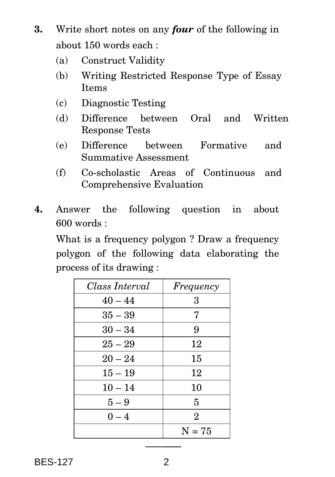- **3.** Write short notes on any *four* of the following in about 150 words each :
	- (a) Construct Validity
	- (b) Writing Restricted Response Type of Essay Items
	- (c) Diagnostic Testing
	- (d) Difference between Oral and Written Response Tests
	- (e) Difference between Formative and Summative Assessment
	- (f) Co-scholastic Areas of Continuous and Comprehensive Evaluation
- **4.** Answer the following question in about 600 words :

What is a frequency polygon ? Draw a frequency polygon of the following data elaborating the process of its drawing :

| Class Interval | Frequency      |
|----------------|----------------|
| $40 - 44$      | 3              |
| $35 - 39$      | 7              |
| $30 - 34$      | 9              |
| $25 - 29$      | 12             |
| $20 - 24$      | 15             |
| $15 - 19$      | 12             |
| $10 - 14$      | 10             |
| $5-9$          | 5              |
| $0 - 4$        | $\overline{2}$ |
|                | $N = 75$       |

BES-127 2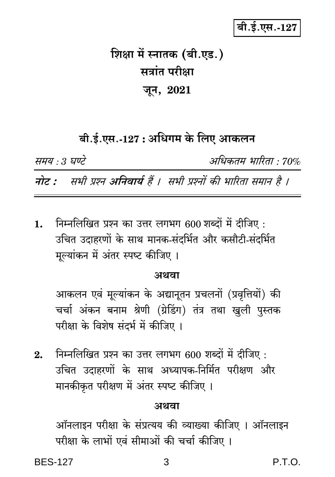## बी.ई.एस.-127

# शिक्षा में स्नातक (बी.एड.) सत्रांत परीक्षा जून, 2021

## बी.ई.एस.-127 : अधिगम के लिए आकलन

समय : 3 घण्टे

अधिकतम भारिता · 70%

नोट : सभी प्रश्न अनिवार्य हैं । सभी प्रश्नों की भारिता समान है ।

निम्नलिखित प्रश्न का उत्तर लगभग 600 शब्दों में दीजिए:  $\mathbf{1}$ . उचित उदाहरणों के साथ मानक-संदर्भित और कसौटी-संदर्भित मूल्यांकन में अंतर स्पष्ट कीजिए ।

#### अथवा

आकलन एवं मूल्यांकन के अद्यानूतन प्रचलनों (प्रवृत्तियों) की चर्चा अंकन बनाम श्रेणी (ग्रेडिंग) तंत्र तथा खुली पुस्तक परीक्षा के विशेष संदर्भ में कीजिए।

निम्नलिखित प्रश्न का उत्तर लगभग 600 शब्दों में दीजिए :  $2<sub>1</sub>$ उचित उदाहरणों के साथ अध्यापक-निर्मित परीक्षण और मानकीकृत परीक्षण में अंतर स्पष्ट कीजिए ।

#### अथवा

ऑनलाइन परीक्षा के संप्रत्यय की व्याख्या कीजिए । ऑनलाइन परीक्षा के लाभों एवं सीमाओं की चर्चा कीजिए ।

**BES-127**